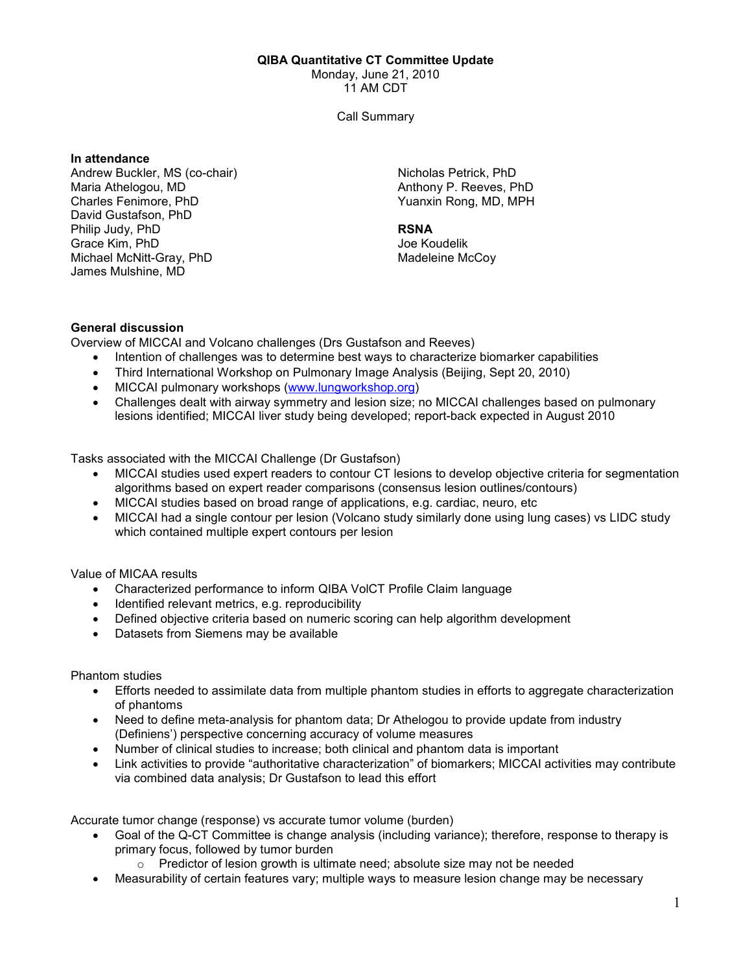#### QIBA Quantitative CT Committee Update

Monday, June 21, 2010

11 AM CDT

Call Summary

#### In attendance

Andrew Buckler, MS (co-chair) Maria Athelogou, MD Charles Fenimore, PhD David Gustafson, PhD Philip Judy, PhD Grace Kim, PhD Michael McNitt-Gray, PhD James Mulshine, MD

Nicholas Petrick, PhD Anthony P. Reeves, PhD Yuanxin Rong, MD, MPH

## RSNA

Joe Koudelik Madeleine McCoy

# General discussion

Overview of MICCAI and Volcano challenges (Drs Gustafson and Reeves)

- Intention of challenges was to determine best ways to characterize biomarker capabilities
- Third International Workshop on Pulmonary Image Analysis (Beijing, Sept 20, 2010)
- MICCAI pulmonary workshops (www.lungworkshop.org)
- Challenges dealt with airway symmetry and lesion size; no MICCAI challenges based on pulmonary lesions identified; MICCAI liver study being developed; report-back expected in August 2010

Tasks associated with the MICCAI Challenge (Dr Gustafson)

- MICCAI studies used expert readers to contour CT lesions to develop objective criteria for segmentation algorithms based on expert reader comparisons (consensus lesion outlines/contours)
- MICCAI studies based on broad range of applications, e.g. cardiac, neuro, etc
- MICCAI had a single contour per lesion (Volcano study similarly done using lung cases) vs LIDC study which contained multiple expert contours per lesion

Value of MICAA results

- Characterized performance to inform QIBA VolCT Profile Claim language
- Identified relevant metrics, e.g. reproducibility
- Defined objective criteria based on numeric scoring can help algorithm development
- Datasets from Siemens may be available

Phantom studies

- Efforts needed to assimilate data from multiple phantom studies in efforts to aggregate characterization of phantoms
- Need to define meta-analysis for phantom data; Dr Athelogou to provide update from industry (Definiens') perspective concerning accuracy of volume measures
- Number of clinical studies to increase; both clinical and phantom data is important
- Link activities to provide "authoritative characterization" of biomarkers; MICCAI activities may contribute via combined data analysis; Dr Gustafson to lead this effort

Accurate tumor change (response) vs accurate tumor volume (burden)

- Goal of the Q-CT Committee is change analysis (including variance); therefore, response to therapy is primary focus, followed by tumor burden
	- $\circ$  Predictor of lesion growth is ultimate need; absolute size may not be needed
- Measurability of certain features vary; multiple ways to measure lesion change may be necessary